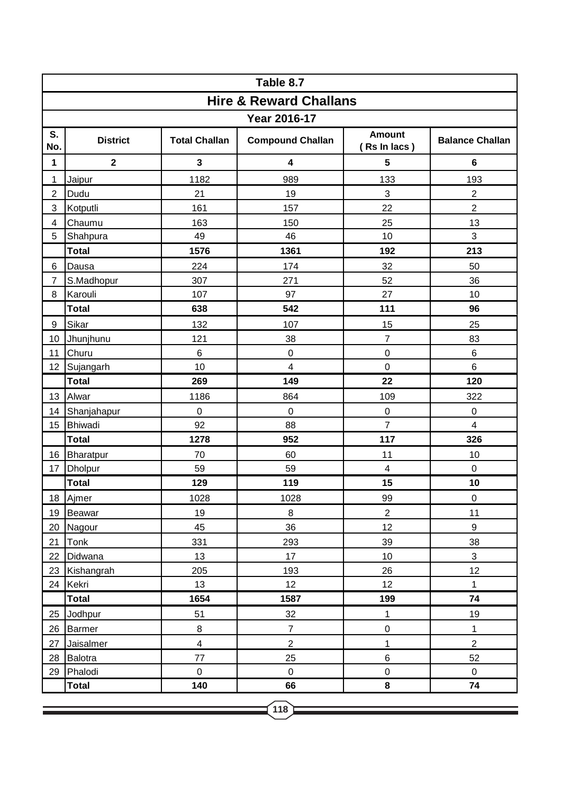| Table 8.7                         |                 |                         |                         |                               |                        |  |  |  |  |
|-----------------------------------|-----------------|-------------------------|-------------------------|-------------------------------|------------------------|--|--|--|--|
| <b>Hire &amp; Reward Challans</b> |                 |                         |                         |                               |                        |  |  |  |  |
| Year 2016-17                      |                 |                         |                         |                               |                        |  |  |  |  |
| S.<br>No.                         | <b>District</b> | <b>Total Challan</b>    | <b>Compound Challan</b> | <b>Amount</b><br>(Rs In lacs) | <b>Balance Challan</b> |  |  |  |  |
| 1                                 | $\mathbf{2}$    | $\mathbf{3}$            | 4                       | 5                             | 6                      |  |  |  |  |
| 1                                 | Jaipur          | 1182                    | 989                     | 133                           | 193                    |  |  |  |  |
| $\overline{2}$                    | Dudu            | 21                      | 19                      | 3                             | $\overline{c}$         |  |  |  |  |
| 3                                 | Kotputli        | 161                     | 157                     | 22                            | $\overline{2}$         |  |  |  |  |
| 4                                 | Chaumu          | 163                     | 150                     | 25                            | 13                     |  |  |  |  |
| 5                                 | Shahpura        | 49                      | 46                      | 10                            | 3                      |  |  |  |  |
|                                   | <b>Total</b>    | 1576                    | 1361                    | 192                           | 213                    |  |  |  |  |
| 6                                 | Dausa           | 224                     | 174                     | 32                            | 50                     |  |  |  |  |
| $\overline{7}$                    | S.Madhopur      | 307                     | 271                     | 52                            | 36                     |  |  |  |  |
| 8                                 | Karouli         | 107                     | 97                      | 27                            | 10                     |  |  |  |  |
|                                   | <b>Total</b>    | 638                     | 542                     | 111                           | 96                     |  |  |  |  |
| 9                                 | Sikar           | 132                     | 107                     | 15                            | 25                     |  |  |  |  |
| 10                                | Jhunjhunu       | 121                     | 38                      | $\overline{7}$                | 83                     |  |  |  |  |
| 11                                | Churu           | 6                       | $\pmb{0}$               | $\pmb{0}$                     | $\,6$                  |  |  |  |  |
| 12                                | Sujangarh       | 10                      | $\overline{4}$          | $\mathbf 0$                   | 6                      |  |  |  |  |
|                                   | <b>Total</b>    | 269                     | 149                     | 22                            | 120                    |  |  |  |  |
| 13                                | Alwar           | 1186                    | 864                     | 109                           | 322                    |  |  |  |  |
| 14                                | Shanjahapur     | $\pmb{0}$               | $\boldsymbol{0}$        | $\pmb{0}$                     | $\mathbf 0$            |  |  |  |  |
| 15                                | <b>Bhiwadi</b>  | 92                      | 88                      | $\overline{7}$                | $\overline{4}$         |  |  |  |  |
|                                   | <b>Total</b>    | 1278                    | 952                     | 117                           | 326                    |  |  |  |  |
| 16                                | Bharatpur       | 70                      | 60                      | 11                            | 10                     |  |  |  |  |
| 17                                | <b>Dholpur</b>  | 59                      | 59                      | $\overline{\mathbf{4}}$       | $\mathbf 0$            |  |  |  |  |
|                                   | <b>Total</b>    | 129                     | 119                     | 15                            | 10                     |  |  |  |  |
|                                   | 18 Ajmer        | 1028                    | 1028                    | 99                            | $\pmb{0}$              |  |  |  |  |
| 19                                | Beawar          | 19                      | 8                       | $\overline{2}$                | 11                     |  |  |  |  |
| 20                                | Nagour          | 45                      | 36                      | 12                            | $9\,$                  |  |  |  |  |
| 21                                | Tonk            | 331                     | 293                     | 39                            | 38                     |  |  |  |  |
| 22                                | Didwana         | 13                      | 17                      | 10                            | $\mathbf{3}$           |  |  |  |  |
| 23                                | Kishangrah      | 205                     | 193                     | 26                            | 12                     |  |  |  |  |
| 24                                | Kekri           | 13                      | 12                      | 12                            | $\mathbf{1}$           |  |  |  |  |
|                                   | <b>Total</b>    | 1654                    | 1587                    | 199                           | 74                     |  |  |  |  |
| 25                                | Jodhpur         | 51                      | 32                      | 1                             | 19                     |  |  |  |  |
| 26                                | <b>Barmer</b>   | 8                       | $\overline{7}$          | $\mathsf 0$                   | $\mathbf{1}$           |  |  |  |  |
| 27                                | Jaisalmer       | $\overline{\mathbf{4}}$ | $\overline{2}$          | $\mathbf 1$                   | $\overline{2}$         |  |  |  |  |
| 28                                | Balotra         | 77                      | 25                      | 6                             | 52                     |  |  |  |  |
| 29                                | Phalodi         | $\pmb{0}$               | $\mathsf 0$             | $\mathbf 0$                   | $\mathbf 0$            |  |  |  |  |
|                                   | <b>Total</b>    | 140                     | 66                      | 8                             | 74                     |  |  |  |  |
|                                   |                 |                         |                         |                               |                        |  |  |  |  |
| [118]                             |                 |                         |                         |                               |                        |  |  |  |  |